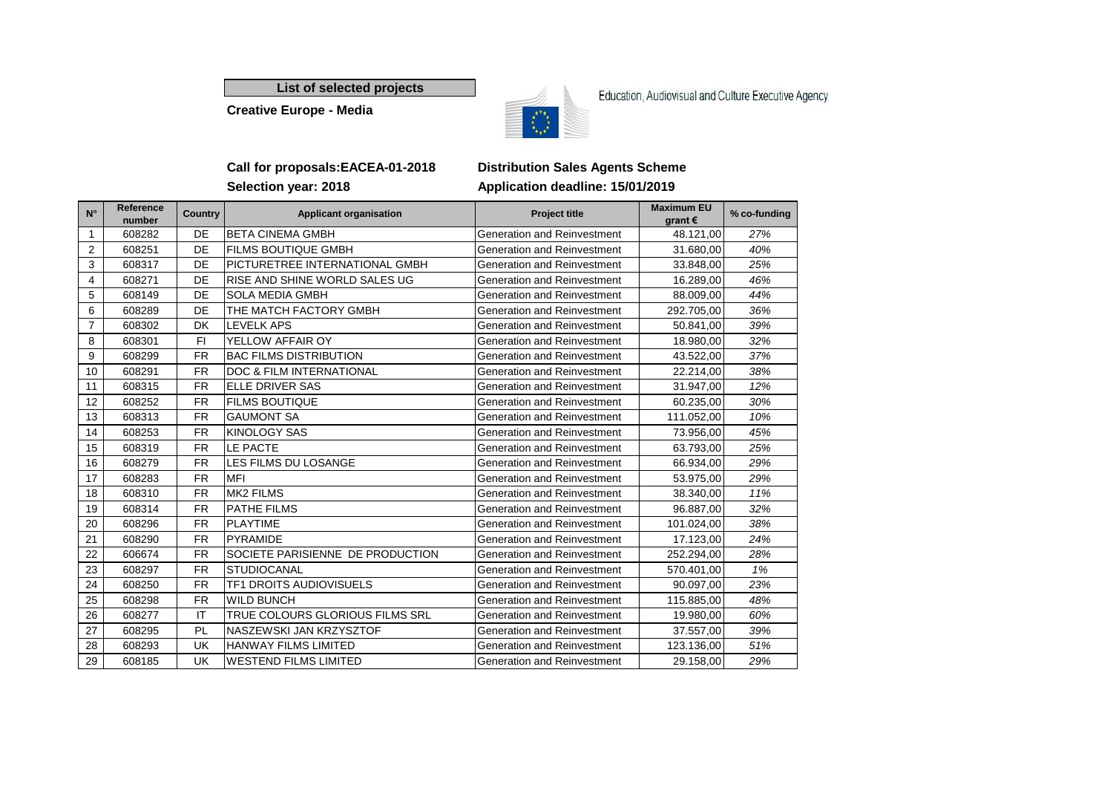**List of selected projects**

**Creative Europe - Media**



Education, Audiovisual and Culture Executive Agency

### **Call for proposals:EACEA-01-2018 Distribution Sales Agents Scheme Selection year: 2018 Application deadline: 15/01/2019**

| $N^{\circ}$    | Reference<br>number | <b>Country</b> | <b>Applicant organisation</b>       | <b>Project title</b>               | <b>Maximum EU</b><br>grant $\epsilon$ | % co-funding |
|----------------|---------------------|----------------|-------------------------------------|------------------------------------|---------------------------------------|--------------|
| 1              | 608282              | DE             | <b>BETA CINEMA GMBH</b>             | Generation and Reinvestment        | 48.121,00                             | 27%          |
| 2              | 608251              | DE             | <b>FILMS BOUTIQUE GMBH</b>          | Generation and Reinvestment        | 31.680,00                             | 40%          |
| 3              | 608317              | DE             | PICTURETREE INTERNATIONAL GMBH      | Generation and Reinvestment        | 33.848,00                             | 25%          |
| 4              | 608271              | DE             | RISE AND SHINE WORLD SALES UG       | Generation and Reinvestment        | 16.289,00                             | 46%          |
| 5              | 608149              | DE             | <b>SOLA MEDIA GMBH</b>              | Generation and Reinvestment        | 88.009,00                             | 44%          |
| 6              | 608289              | <b>DE</b>      | THE MATCH FACTORY GMBH              | Generation and Reinvestment        | 292.705,00                            | 36%          |
| $\overline{7}$ | 608302              | DK             | <b>LEVELK APS</b>                   | Generation and Reinvestment        | 50.841,00                             | 39%          |
| 8              | 608301              | FI.            | YELLOW AFFAIR OY                    | Generation and Reinvestment        | 18.980,00                             | 32%          |
| 9              | 608299              | <b>FR</b>      | <b>BAC FILMS DISTRIBUTION</b>       | Generation and Reinvestment        | 43.522,00                             | 37%          |
| 10             | 608291              | <b>FR</b>      | <b>DOC &amp; FILM INTERNATIONAL</b> | Generation and Reinvestment        | 22.214,00                             | 38%          |
| 11             | 608315              | <b>FR</b>      | <b>ELLE DRIVER SAS</b>              | Generation and Reinvestment        | 31.947,00                             | 12%          |
| 12             | 608252              | <b>FR</b>      | <b>FILMS BOUTIQUE</b>               | Generation and Reinvestment        | 60.235,00                             | 30%          |
| 13             | 608313              | <b>FR</b>      | <b>GAUMONT SA</b>                   | Generation and Reinvestment        | 111.052,00                            | 10%          |
| 14             | 608253              | <b>FR</b>      | <b>KINOLOGY SAS</b>                 | Generation and Reinvestment        | 73.956,00                             | 45%          |
| 15             | 608319              | <b>FR</b>      | LE PACTE                            | Generation and Reinvestment        | 63.793,00                             | 25%          |
| 16             | 608279              | <b>FR</b>      | LES FILMS DU LOSANGE                | Generation and Reinvestment        | 66.934,00                             | 29%          |
| 17             | 608283              | <b>FR</b>      | <b>MFI</b>                          | Generation and Reinvestment        | 53.975,00                             | 29%          |
| 18             | 608310              | <b>FR</b>      | <b>MK2 FILMS</b>                    | Generation and Reinvestment        | 38.340,00                             | 11%          |
| 19             | 608314              | <b>FR</b>      | PATHE FILMS                         | Generation and Reinvestment        | 96.887,00                             | 32%          |
| 20             | 608296              | <b>FR</b>      | <b>PLAYTIME</b>                     | Generation and Reinvestment        | 101.024,00                            | 38%          |
| 21             | 608290              | <b>FR</b>      | <b>PYRAMIDE</b>                     | Generation and Reinvestment        | 17.123,00                             | 24%          |
| 22             | 606674              | <b>FR</b>      | SOCIETE PARISIENNE DE PRODUCTION    | <b>Generation and Reinvestment</b> | 252.294,00                            | 28%          |
| 23             | 608297              | <b>FR</b>      | <b>STUDIOCANAL</b>                  | Generation and Reinvestment        | 570.401,00                            | 1%           |
| 24             | 608250              | <b>FR</b>      | <b>TF1 DROITS AUDIOVISUELS</b>      | Generation and Reinvestment        | 90.097,00                             | 23%          |
| 25             | 608298              | <b>FR</b>      | <b>WILD BUNCH</b>                   | Generation and Reinvestment        | 115.885,00                            | 48%          |
| 26             | 608277              | IT             | TRUE COLOURS GLORIOUS FILMS SRL     | Generation and Reinvestment        | 19.980,00                             | 60%          |
| 27             | 608295              | PL             | NASZEWSKI JAN KRZYSZTOF             | Generation and Reinvestment        | 37.557,00                             | 39%          |
| 28             | 608293              | UK             | <b>HANWAY FILMS LIMITED</b>         | Generation and Reinvestment        | 123.136,00                            | 51%          |
| 29             | 608185              | <b>UK</b>      | <b>WESTEND FILMS LIMITED</b>        | Generation and Reinvestment        | 29.158,00                             | 29%          |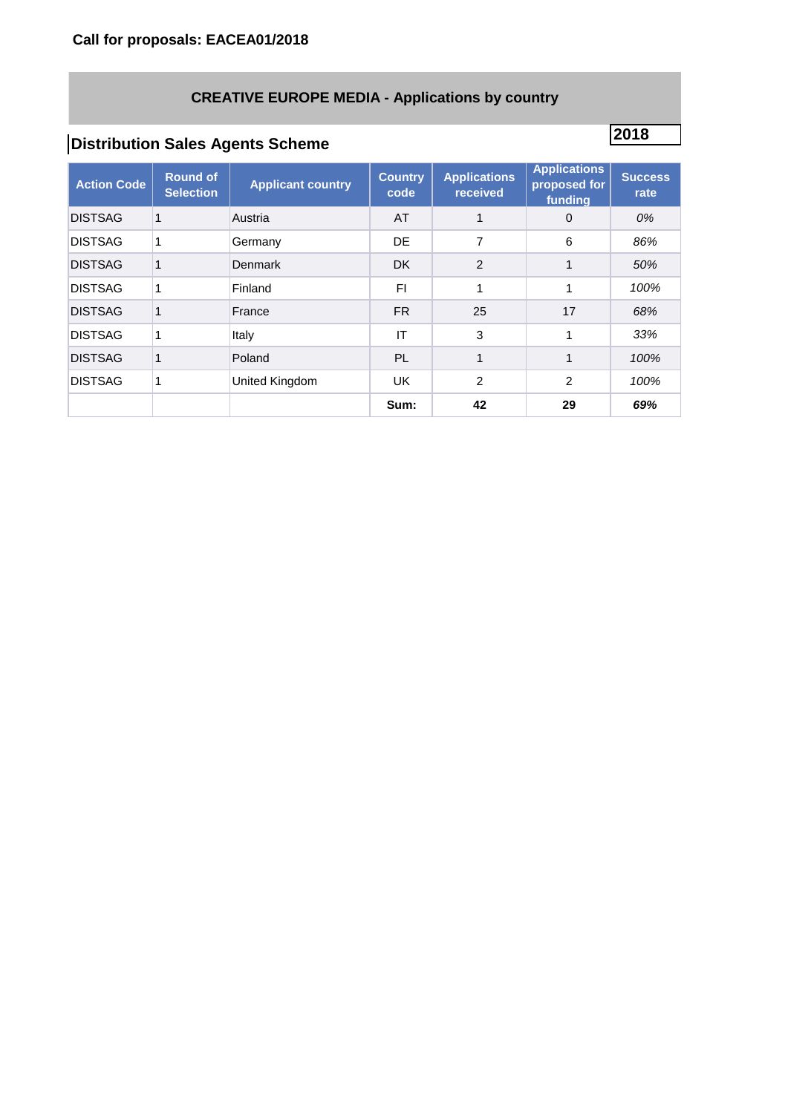## **CREATIVE EUROPE MEDIA - Applications by country**

# **<sup>2018</sup> Distribution Sales Agents Scheme**

| <b>Action Code</b> | <b>Round of</b><br><b>Selection</b> | <b>Applicant country</b> | <b>Country</b><br>code | <b>Applications</b><br>received | <b>Applications</b><br>proposed for<br>funding | <b>Success</b><br>rate |
|--------------------|-------------------------------------|--------------------------|------------------------|---------------------------------|------------------------------------------------|------------------------|
| <b>DISTSAG</b>     |                                     | Austria                  | AT                     |                                 | $\Omega$                                       | 0%                     |
| <b>DISTSAG</b>     |                                     | Germany                  | DE                     | 7                               | 6                                              | 86%                    |
| <b>DISTSAG</b>     |                                     | Denmark                  | <b>DK</b>              | $\overline{2}$                  |                                                | 50%                    |
| <b>DISTSAG</b>     |                                     | Finland                  | FI.                    | 1                               | 1                                              | 100%                   |
| <b>DISTSAG</b>     |                                     | France                   | <b>FR</b>              | 25                              | 17                                             | 68%                    |
| <b>DISTSAG</b>     | 1                                   | Italy                    | IT                     | 3                               | 1                                              | 33%                    |
| <b>DISTSAG</b>     |                                     | Poland                   | <b>PL</b>              | 1                               |                                                | 100%                   |
| <b>DISTSAG</b>     |                                     | United Kingdom           | <b>UK</b>              | $\overline{2}$                  | 2                                              | 100%                   |
|                    |                                     |                          | Sum:                   | 42                              | 29                                             | 69%                    |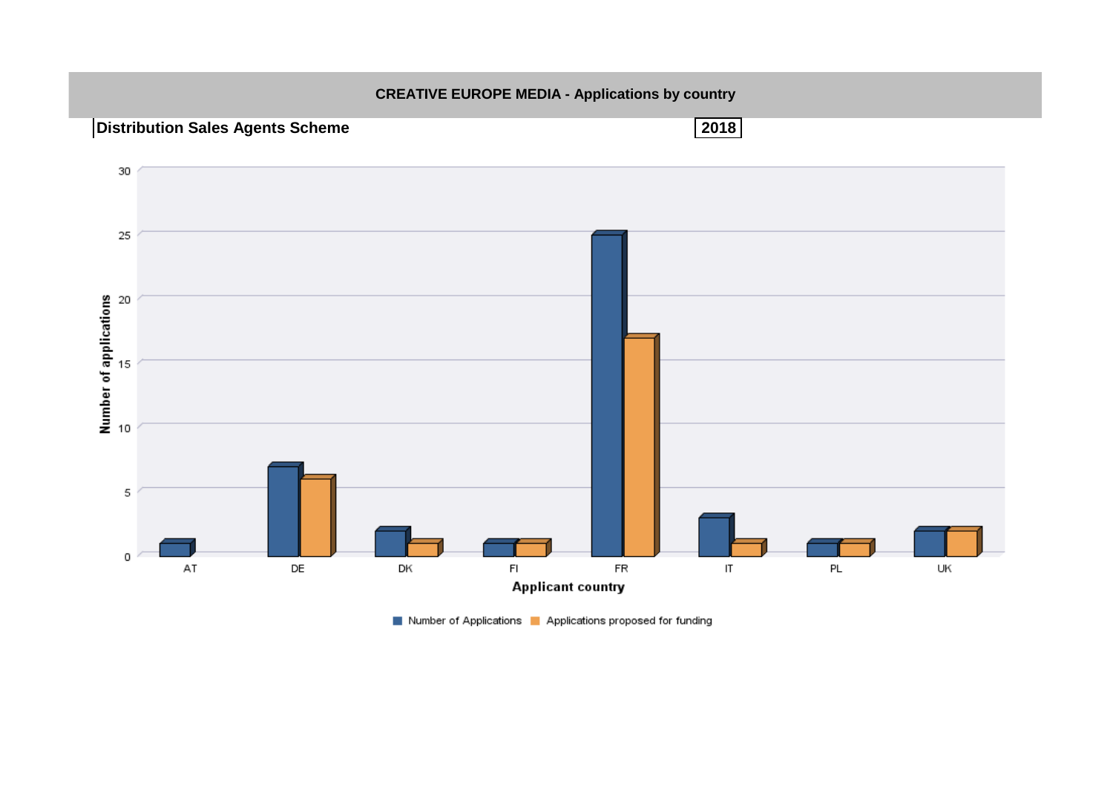

Number of Applications | Applications proposed for funding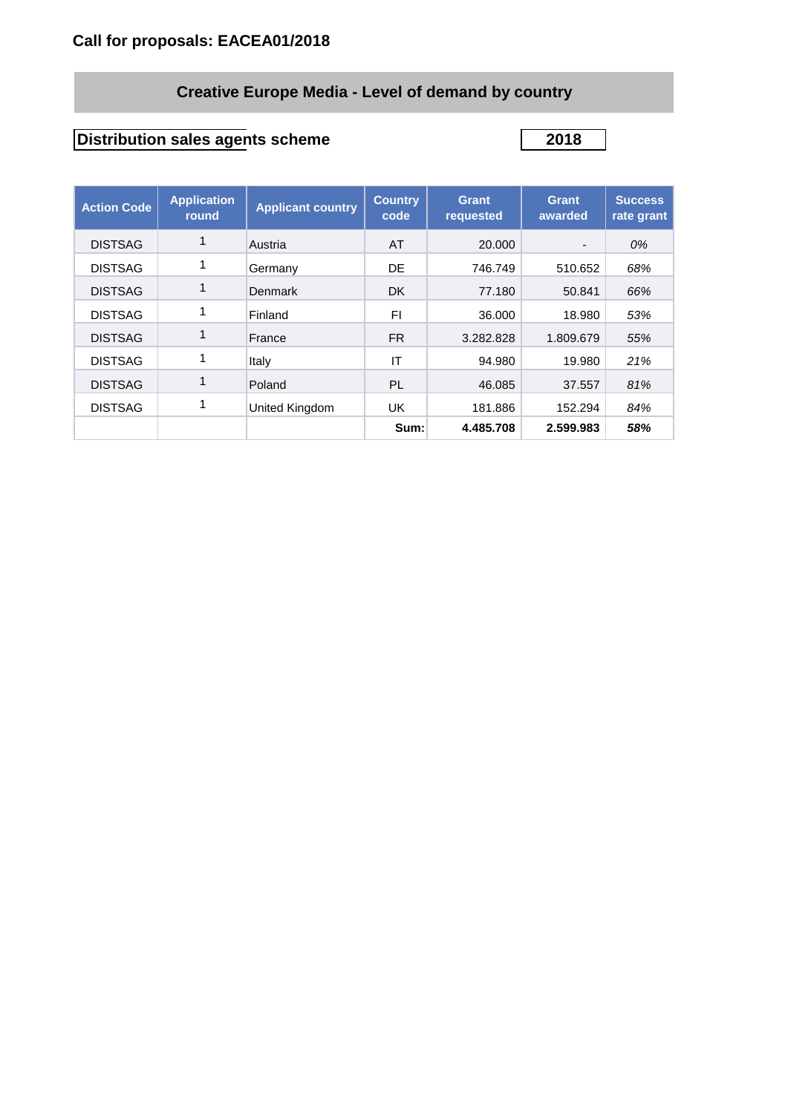# **Creative Europe Media - Level of demand by country**

# **Distribution sales agents scheme 2018**

| <b>Action Code</b> | <b>Application</b><br>round | <b>Applicant country</b> | <b>Country</b><br>code | Grant<br>requested | Grant<br>awarded | <b>Success</b><br>rate grant |
|--------------------|-----------------------------|--------------------------|------------------------|--------------------|------------------|------------------------------|
| <b>DISTSAG</b>     |                             | Austria                  | AT                     | 20.000             |                  | 0%                           |
| <b>DISTSAG</b>     |                             | Germany                  | DE                     | 746.749            | 510.652          | 68%                          |
| <b>DISTSAG</b>     |                             | Denmark                  | <b>DK</b>              | 77.180             | 50.841           | 66%                          |
| <b>DISTSAG</b>     |                             | Finland                  | FI                     | 36.000             | 18.980           | 53%                          |
| <b>DISTSAG</b>     |                             | France                   | FR.                    | 3.282.828          | 1.809.679        | 55%                          |
| <b>DISTSAG</b>     |                             | Italy                    | IT                     | 94.980             | 19.980           | 21%                          |
| <b>DISTSAG</b>     |                             | Poland                   | <b>PL</b>              | 46.085             | 37.557           | 81%                          |
| <b>DISTSAG</b>     |                             | United Kingdom           | <b>UK</b>              | 181.886            | 152.294          | 84%                          |
|                    |                             |                          | Sum:                   | 4.485.708          | 2.599.983        | 58%                          |